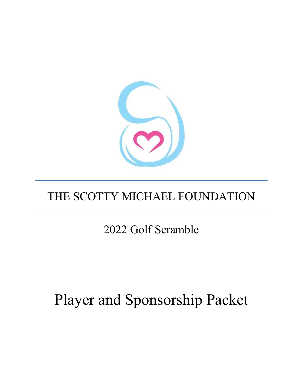

## THE SCOTTY MICHAEL FOUNDATION

2022 Golf Scramble

# Player and Sponsorship Packet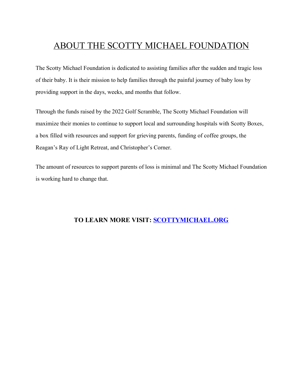## ABOUT THE SCOTTY MICHAEL FOUNDATION

The Scotty Michael Foundation is dedicated to assisting families after the sudden and tragic loss of their baby. It is their mission to help families through the painful journey of baby loss by providing support in the days, weeks, and months that follow.

Through the funds raised by the 2022 Golf Scramble, The Scotty Michael Foundation will maximize their monies to continue to support local and surrounding hospitals with Scotty Boxes, a box filled with resources and support for grieving parents, funding of coffee groups, the Reagan's Ray of Light Retreat, and Christopher's Corner.

The amount of resources to support parents of loss is minimal and The Scotty Michael Foundation is working hard to change that.

#### **TO LEARN MORE VISIT: [SCOTTYMICHAEL.ORG](https://scottymichael.org/)**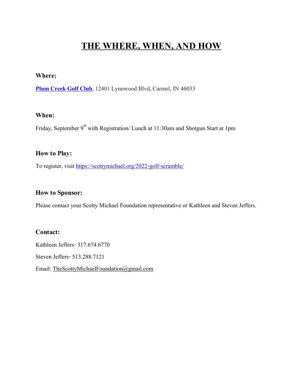## **THE WHERE, WHEN, AND HOW**

#### **Where:**

**[Plum Creek Golf Club](https://plumcreekgolfclub.com/)**, 12401 Lynnwood Blvd, Carmel, IN 46033

#### **When:**

Friday, September 9<sup>th</sup> with Registration/ Lunch at 11:30am and Shotgun Start at 1pm

#### **How to Play:**

To register, visit<https://scottymichael.org/2022-golf-scramble/>

#### **How to Sponsor:**

Please contact your Scotty Michael Foundation representative or Kathleen and Steven Jeffers.

#### **Contact:**

Kathleen Jeffers-317.674.6770 Steven Jeffers-513.288.7121 Email: [TheScottyMichaelFoundation@gmail.com](mailto:TheScottyMichaelFoundation@gmail.com)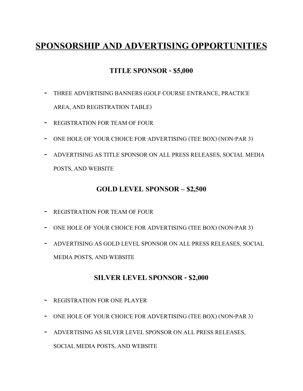## **SPONSORSHIP AND ADVERTISING OPPORTUNITIES**

#### **TITLE SPONSOR -\$5,000**

- **-** THREE ADVERTISING BANNERS (GOLF COURSE ENTRANCE, PRACTICE AREA, AND REGISTRATION TABLE)
- **-** REGISTRATION FOR TEAM OF FOUR
- **-** ONE HOLE OF YOUR CHOICE FOR ADVERTISING (TEE BOX) (NON-PAR 3)
- **-** ADVERTISING AS TITLE SPONSOR ON ALL PRESS RELEASES, SOCIAL MEDIA POSTS, AND WEBSITE

#### **GOLD LEVEL SPONSOR – \$2,500**

- **-** REGISTRATION FOR TEAM OF FOUR
- **-** ONE HOLE OF YOUR CHOICE FOR ADVERTISING (TEE BOX) (NON-PAR 3)
- **-** ADVERTISING AS GOLD LEVEL SPONSOR ON ALL PRESS RELEASES, SOCIAL MEDIA POSTS, AND WEBSITE

#### **SILVER LEVEL SPONSOR - \$2,000**

- **-** REGISTRATION FOR ONE PLAYER
- **-** ONE HOLE OF YOUR CHOICE FOR ADVERTISING (TEE BOX) (NON-PAR 3)
- **-** ADVERTISING AS SILVER LEVEL SPONSOR ON ALL PRESS RELEASES, SOCIAL MEDIA POSTS, AND WEBSITE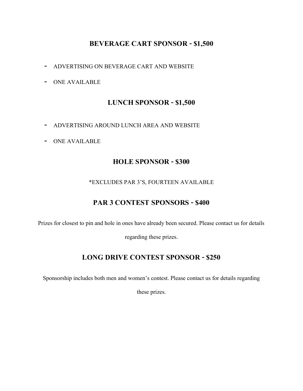#### **BEVERAGE CART SPONSOR - \$1,500**

- **-** ADVERTISING ON BEVERAGE CART AND WEBSITE
- **-** ONE AVAILABLE

#### **LUNCH SPONSOR - \$1,500**

- **-** ADVERTISING AROUND LUNCH AREA AND WEBSITE
- **-** ONE AVAILABLE

#### **HOLE SPONSOR - \$300**

#### \*EXCLUDES PAR 3'S, FOURTEEN AVAILABLE

#### **PAR 3 CONTEST SPONSORS - \$400**

Prizes for closest to pin and hole in ones have already been secured. Please contact us for details

regarding these prizes.

#### **LONG DRIVE CONTEST SPONSOR -\$250**

Sponsorship includes both men and women's contest. Please contact us for details regarding

these prizes.